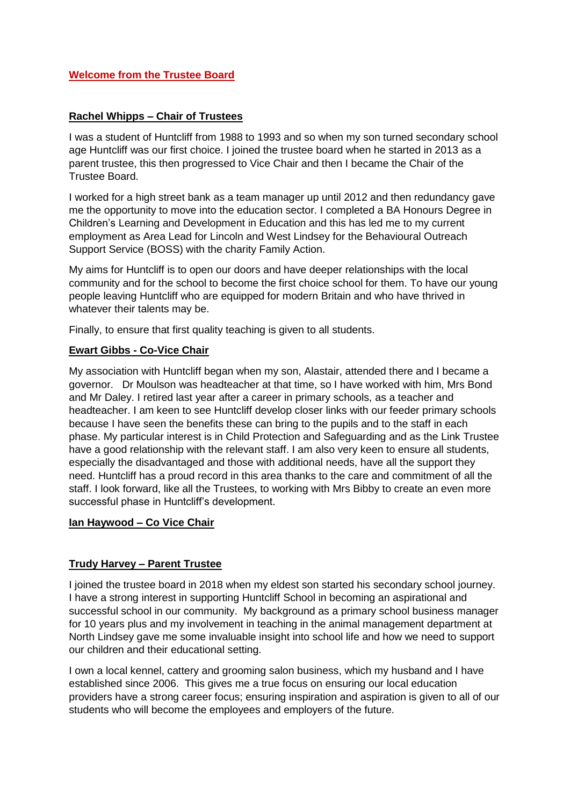### **Welcome from the Trustee Board**

### **Rachel Whipps – Chair of Trustees**

I was a student of Huntcliff from 1988 to 1993 and so when my son turned secondary school age Huntcliff was our first choice. I joined the trustee board when he started in 2013 as a parent trustee, this then progressed to Vice Chair and then I became the Chair of the Trustee Board.

I worked for a high street bank as a team manager up until 2012 and then redundancy gave me the opportunity to move into the education sector. I completed a BA Honours Degree in Children's Learning and Development in Education and this has led me to my current employment as Area Lead for Lincoln and West Lindsey for the Behavioural Outreach Support Service (BOSS) with the charity Family Action.

My aims for Huntcliff is to open our doors and have deeper relationships with the local community and for the school to become the first choice school for them. To have our young people leaving Huntcliff who are equipped for modern Britain and who have thrived in whatever their talents may be.

Finally, to ensure that first quality teaching is given to all students.

## **Ewart Gibbs - Co-Vice Chair**

My association with Huntcliff began when my son, Alastair, attended there and I became a governor. Dr Moulson was headteacher at that time, so I have worked with him, Mrs Bond and Mr Daley. I retired last year after a career in primary schools, as a teacher and headteacher. I am keen to see Huntcliff develop closer links with our feeder primary schools because I have seen the benefits these can bring to the pupils and to the staff in each phase. My particular interest is in Child Protection and Safeguarding and as the Link Trustee have a good relationship with the relevant staff. I am also very keen to ensure all students, especially the disadvantaged and those with additional needs, have all the support they need. Huntcliff has a proud record in this area thanks to the care and commitment of all the staff. I look forward, like all the Trustees, to working with Mrs Bibby to create an even more successful phase in Huntcliff's development.

#### **Ian Haywood – Co Vice Chair**

#### **Trudy Harvey – Parent Trustee**

I joined the trustee board in 2018 when my eldest son started his secondary school journey. I have a strong interest in supporting Huntcliff School in becoming an aspirational and successful school in our community. My background as a primary school business manager for 10 years plus and my involvement in teaching in the animal management department at North Lindsey gave me some invaluable insight into school life and how we need to support our children and their educational setting.

I own a local kennel, cattery and grooming salon business, which my husband and I have established since 2006. This gives me a true focus on ensuring our local education providers have a strong career focus; ensuring inspiration and aspiration is given to all of our students who will become the employees and employers of the future.